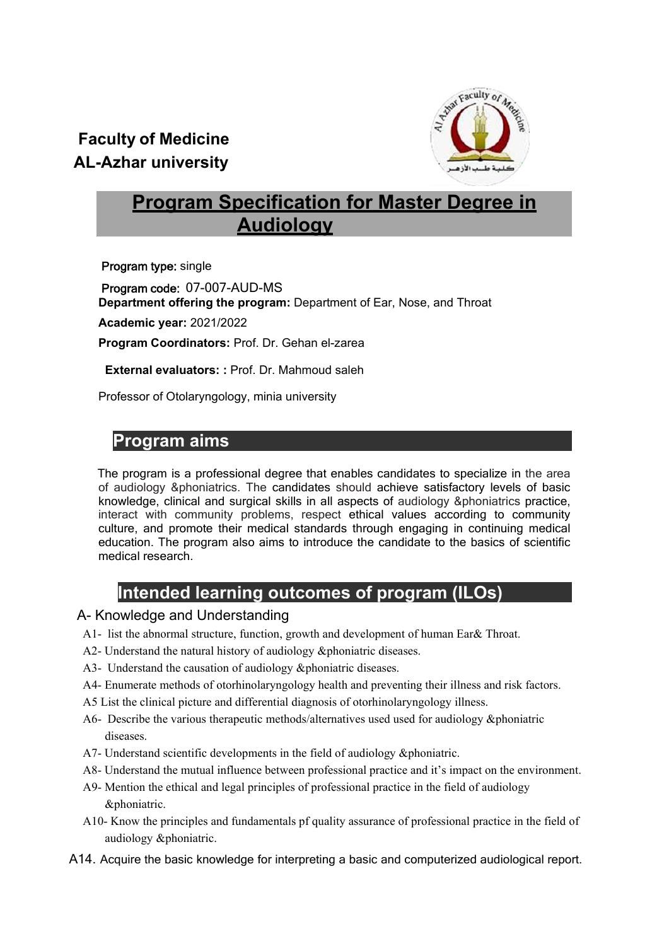# **Faculty of Medicine AL-Azhar university**



# **Program Specification for Master Degree in Audiology**

Program type: single

Program code: 07-007-AUD-MS **Department offering the program:** Department of Ear, Nose, and Throat

**Academic year:** 2021/2022

**Program Coordinators:** Prof. Dr. Gehan el-zarea

 **External evaluators: :** Prof. Dr. Mahmoud saleh

Professor of Otolaryngology, minia university

## **I. Program aims**

The program is a professional degree that enables candidates to specialize in the area of audiology &phoniatrics. The candidates should achieve satisfactory levels of basic knowledge, clinical and surgical skills in all aspects of audiology &phoniatrics practice, interact with community problems, respect ethical values according to community culture, and promote their medical standards through engaging in continuing medical education. The program also aims to introduce the candidate to the basics of scientific medical research.

# **Intended learning outcomes of program (ILOs)**

## A- Knowledge and Understanding

- A1- list the abnormal structure, function, growth and development of human Ear& Throat.
- A2- Understand the natural history of audiology &phoniatric diseases.
- A3- Understand the causation of audiology &phoniatric diseases.
- A4- Enumerate methods of otorhinolaryngology health and preventing their illness and risk factors.
- A5 List the clinical picture and differential diagnosis of otorhinolaryngology illness.
- A6- Describe the various therapeutic methods/alternatives used used for audiology &phoniatric diseases.
- A7- Understand scientific developments in the field of audiology &phoniatric.
- A8- Understand the mutual influence between professional practice and it's impact on the environment.
- A9- Mention the ethical and legal principles of professional practice in the field of audiology &phoniatric.
- A10- Know the principles and fundamentals pf quality assurance of professional practice in the field of audiology &phoniatric.
- A14. Acquire the basic knowledge for interpreting a basic and computerized audiological report.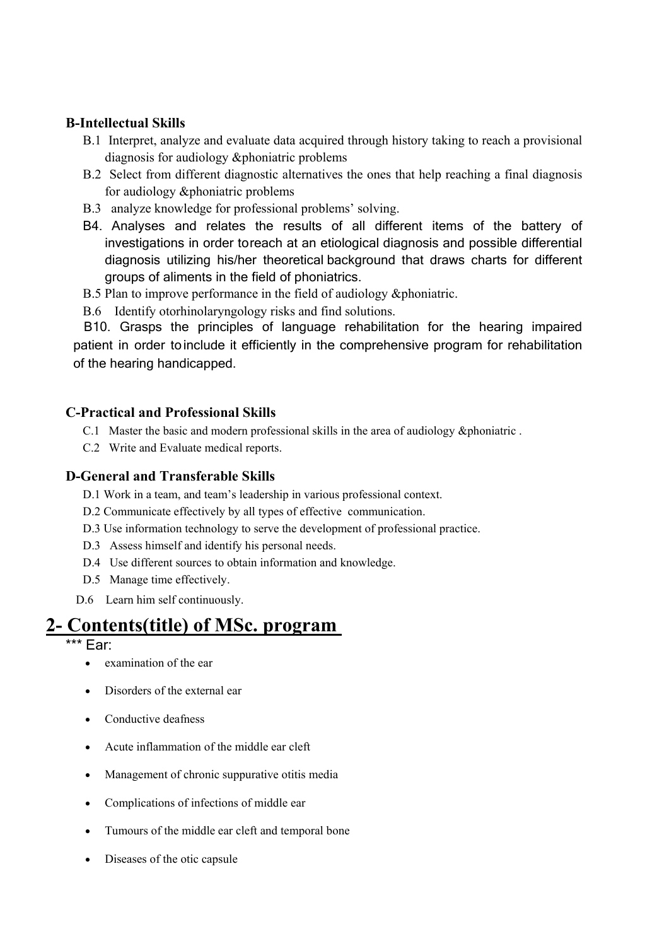## **B-Intellectual Skills**

- B.1 Interpret, analyze and evaluate data acquired through history taking to reach a provisional diagnosis for audiology &phoniatric problems
- B.2 Select from different diagnostic alternatives the ones that help reaching a final diagnosis for audiology &phoniatric problems
- B.3 analyze knowledge for professional problems' solving.
- B4. Analyses and relates the results of all different items of the battery of investigations in order to reach at an etiological diagnosis and possible differential diagnosis utilizing his/her theoretical background that draws charts for different groups of aliments in the field of phoniatrics.
- B.5 Plan to improve performance in the field of audiology &phoniatric.
- B.6 Identify otorhinolaryngology risks and find solutions.

 B10. Grasps the principles of language rehabilitation for the hearing impaired patient in order to include it efficiently in the comprehensive program for rehabilitation of the hearing handicapped.

### **C-Practical and Professional Skills**

- C.1 Master the basic and modern professional skills in the area of audiology &phoniatric .
- C.2 Write and Evaluate medical reports.

#### **D-General and Transferable Skills**

D.1 Work in a team, and team's leadership in various professional context.

- D.2 Communicate effectively by all types of effective communication.
- D.3 Use information technology to serve the development of professional practice.
- D.3 Assess himself and identify his personal needs.
- D.4 Use different sources to obtain information and knowledge.
- D.5 Manage time effectively.
- D.6 Learn him self continuously.

# **2- Contents(title) of MSc. program**

\*\* Far:

- examination of the ear
- Disorders of the external ear
- Conductive deafness
- Acute inflammation of the middle ear cleft
- Management of chronic suppurative otitis media
- Complications of infections of middle ear
- Tumours of the middle ear cleft and temporal bone
- Diseases of the otic capsule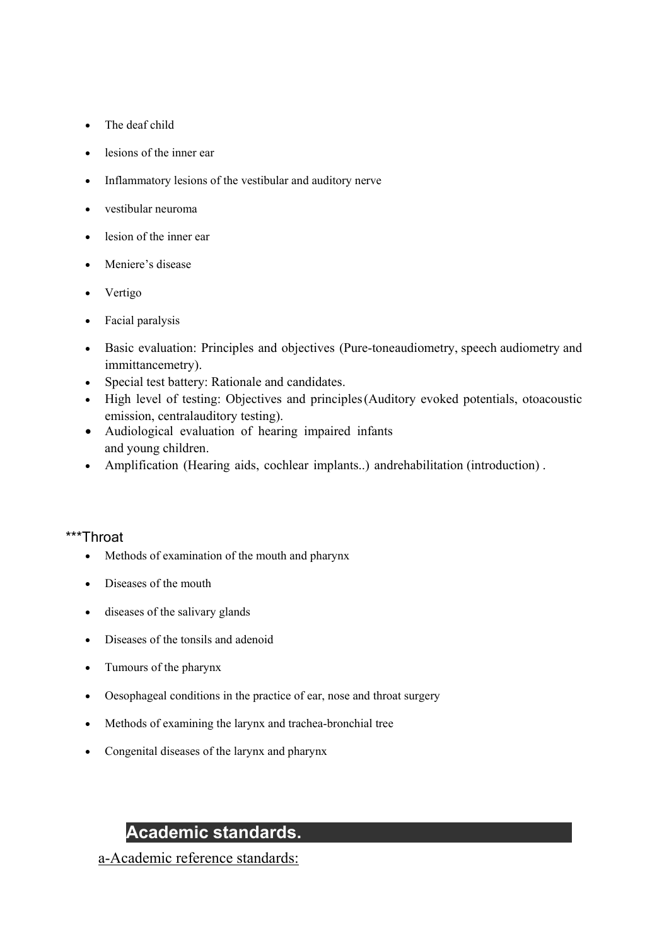- The deaf child
- lesions of the inner ear
- Inflammatory lesions of the vestibular and auditory nerve
- vestibular neuroma
- lesion of the inner ear
- Meniere's disease
- Vertigo
- Facial paralysis
- Basic evaluation: Principles and objectives (Pure-tone audiometry, speech audiometry and immittancemetry).
- Special test battery: Rationale and candidates.
- High level of testing: Objectives and principles (Auditory evoked potentials, otoacoustic emission, central auditory testing).
- Audiological evaluation of hearing impaired infants and young children.
- Amplification (Hearing aids, cochlear implants..) and rehabilitation (introduction).

## \*\*\*Throat

- Methods of examination of the mouth and pharynx
- Diseases of the mouth
- diseases of the salivary glands
- Diseases of the tonsils and adenoid
- Tumours of the pharynx
- Oesophageal conditions in the practice of ear, nose and throat surgery
- Methods of examining the larynx and trachea-bronchial tree
- Congenital diseases of the larynx and pharynx

# **Academic standards.**

a-Academic reference standards: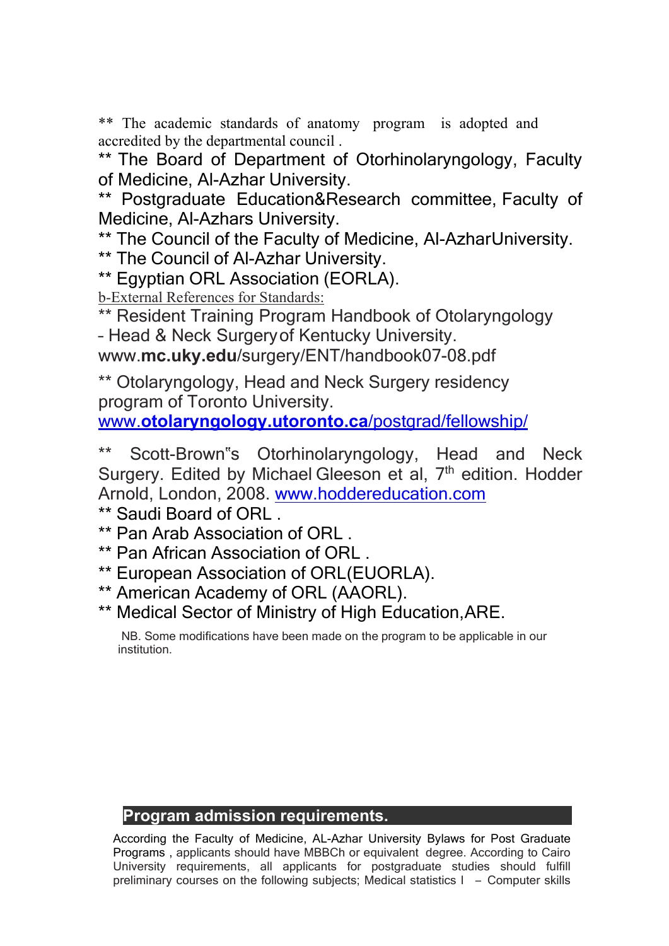\*\* The academic standards of anatomy program is adopted and accredited by the departmental council .

\*\* The Board of Department of Otorhinolaryngology, Faculty of Medicine, Al-Azhar University.

\*\* Postgraduate Education&Research committee, Faculty of Medicine, Al-Azhars University.

\*\* The Council of the Faculty of Medicine, Al-Azhar University.

\*\* The Council of Al-Azhar University.

\*\* Egyptian ORL Association (EORLA).

b-External References for Standards:

\*\* Resident Training Program Handbook of Otolaryngology – Head & Neck Surgery of Kentucky University.

www.**mc.uky.edu**/surgery/ENT/handbook07-08.pdf

\*\* Otolaryngology, Head and Neck Surgery residency program of Toronto University.

www.**otolaryngology.utoronto.ca**/postgrad/fellowship/

\*\* Scott-Brown"s Otorhinolaryngology, Head and Neck Surgery. Edited by Michael Gleeson et al, 7<sup>th</sup> edition. Hodder Arnold, London, 2008. www.hoddereducation.com

\*\* Saudi Board of ORL .

\*\* Pan Arab Association of ORL .

- \*\* Pan African Association of ORL .
- \*\* European Association of ORL (EUORLA).
- \*\* American Academy of ORL (AAORL).
- \*\* Medical Sector of Ministry of High Education, ARE.

NB. Some modifications have been made on the program to be applicable in our institution.

# **Program admission requirements.**

According the Faculty of Medicine, AL-Azhar University Bylaws for Post Graduate Programs , applicants should have MBBCh or equivalent degree. According to Cairo University requirements, all applicants for postgraduate studies should fulfill preliminary courses on the following subjects; Medical statistics I – Computer skills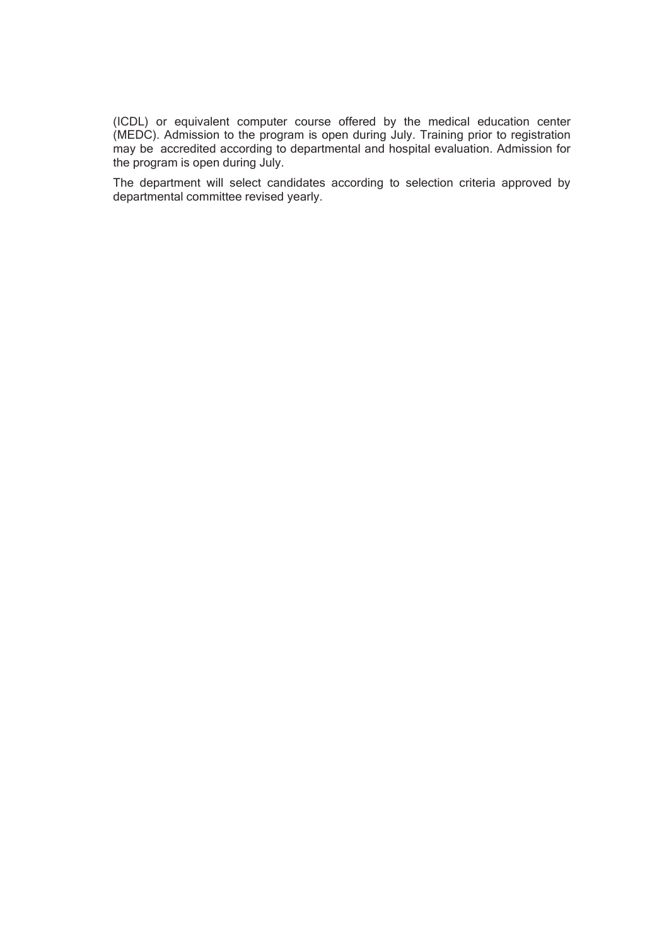(ICDL) or equivalent computer course offered by the medical education center (MEDC). Admission to the program is open during July. Training prior to registration may be accredited according to departmental and hospital evaluation. Admission for the program is open during July.

The department will select candidates according to selection criteria approved by departmental committee revised yearly.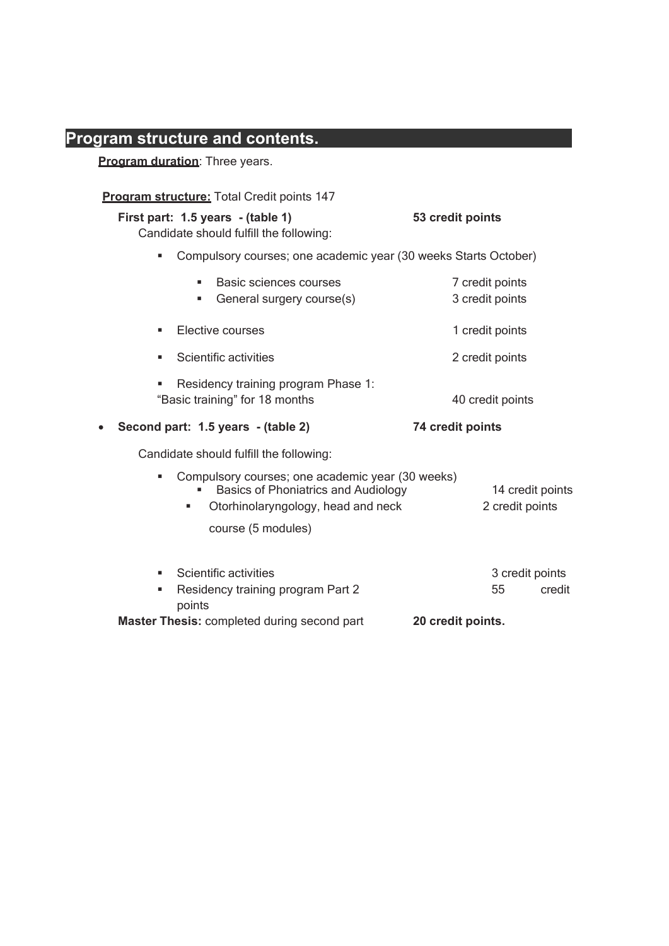# **Program structure and contents.**

**Program duration:** Three years.

| <b>Program structure:</b> Total Credit points 147                                                                             |                                                                                                                                      |                                                      |
|-------------------------------------------------------------------------------------------------------------------------------|--------------------------------------------------------------------------------------------------------------------------------------|------------------------------------------------------|
| First part: 1.5 years - (table 1)<br>Candidate should fulfill the following:                                                  |                                                                                                                                      | 53 credit points                                     |
| ш                                                                                                                             | Compulsory courses; one academic year (30 weeks Starts October)                                                                      |                                                      |
| Basic sciences courses<br>٠<br>General surgery course(s)<br>٠                                                                 |                                                                                                                                      | 7 credit points<br>3 credit points                   |
| Elective courses<br>٠                                                                                                         |                                                                                                                                      | 1 credit points                                      |
| Scientific activities<br>٠                                                                                                    |                                                                                                                                      | 2 credit points                                      |
| Residency training program Phase 1:<br>"Basic training" for 18 months                                                         |                                                                                                                                      | 40 credit points                                     |
| Second part: 1.5 years - (table 2)<br>$\bullet$                                                                               |                                                                                                                                      | 74 credit points                                     |
| Candidate should fulfill the following:                                                                                       |                                                                                                                                      |                                                      |
| ٠<br>course (5 modules)                                                                                                       | Compulsory courses; one academic year (30 weeks)<br><b>Basics of Phoniatrics and Audiology</b><br>Otorhinolaryngology, head and neck | 14 credit points<br>2 credit points                  |
| Scientific activities<br>٠<br>Residency training program Part 2<br>٠<br>points<br>Master Thesis: completed during second part |                                                                                                                                      | 3 credit points<br>55<br>credit<br>20 credit points. |
|                                                                                                                               |                                                                                                                                      |                                                      |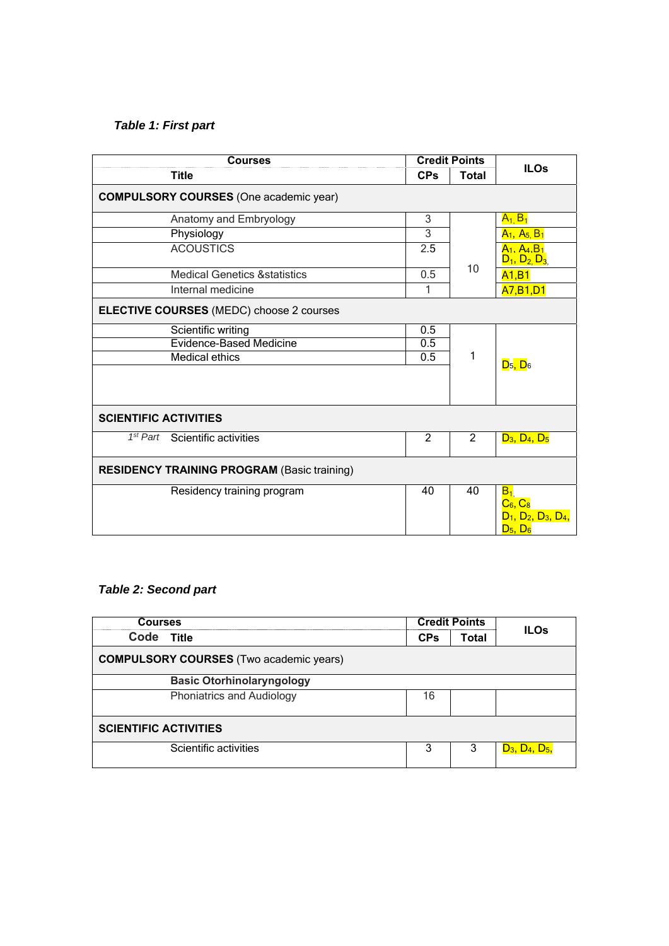## *Table 1: First part*

| <b>Courses</b>                                     | <b>Credit Points</b> |                             |                                                                      |  |
|----------------------------------------------------|----------------------|-----------------------------|----------------------------------------------------------------------|--|
| <b>Title</b>                                       | <b>CPs</b>           | <b>ILOs</b><br><b>Total</b> |                                                                      |  |
| <b>COMPULSORY COURSES (One academic year)</b>      |                      |                             |                                                                      |  |
| Anatomy and Embryology                             | 3                    |                             | $A_{1,}B_{1}$                                                        |  |
| Physiology                                         | 3                    |                             | $A_1, A_5, B_1$                                                      |  |
| <b>ACOUSTICS</b>                                   | $\overline{2.5}$     |                             | A <sub>1</sub> . A <sub>4</sub> . B <sub>1</sub><br>$D_1, D_2, D_3$  |  |
| <b>Medical Genetics &amp; statistics</b>           | 0.5                  | 10                          | A1,B1                                                                |  |
| Internal medicine                                  | 1                    |                             | A7, B1, D1                                                           |  |
| ELECTIVE COURSES (MEDC) choose 2 courses           |                      |                             |                                                                      |  |
| Scientific writing                                 | 0.5                  |                             |                                                                      |  |
| <b>Evidence-Based Medicine</b>                     | 0.5                  | 1                           |                                                                      |  |
| <b>Medical ethics</b>                              | 0.5                  |                             | $D_5$ , $D_6$                                                        |  |
|                                                    |                      |                             |                                                                      |  |
| <b>SCIENTIFIC ACTIVITIES</b>                       |                      |                             |                                                                      |  |
| 1 <sup>st</sup> Part Scientific activities         | 2                    | 2                           | $D_3, D_4, D_5$                                                      |  |
| <b>RESIDENCY TRAINING PROGRAM (Basic training)</b> |                      |                             |                                                                      |  |
| Residency training program                         | 40                   | 40                          | $B_1$<br>$C_6, C_8$<br>$D_1$ , $D_2$ , $D_3$ , $D_4$ ,<br>$D_5, D_6$ |  |

## *Table 2: Second part*

| <b>Courses</b>                                 | <b>Credit Points</b> |              |                  |  |
|------------------------------------------------|----------------------|--------------|------------------|--|
| Code Title                                     | <b>CPs</b>           | <b>Total</b> | <b>ILOs</b>      |  |
| <b>COMPULSORY COURSES</b> (Two academic years) |                      |              |                  |  |
| <b>Basic Otorhinolaryngology</b>               |                      |              |                  |  |
| <b>Phoniatrics and Audiology</b>               | 16                   |              |                  |  |
| <b>SCIENTIFIC ACTIVITIES</b>                   |                      |              |                  |  |
| Scientific activities                          | 3                    | 3            | $D_3, D_4, D_5,$ |  |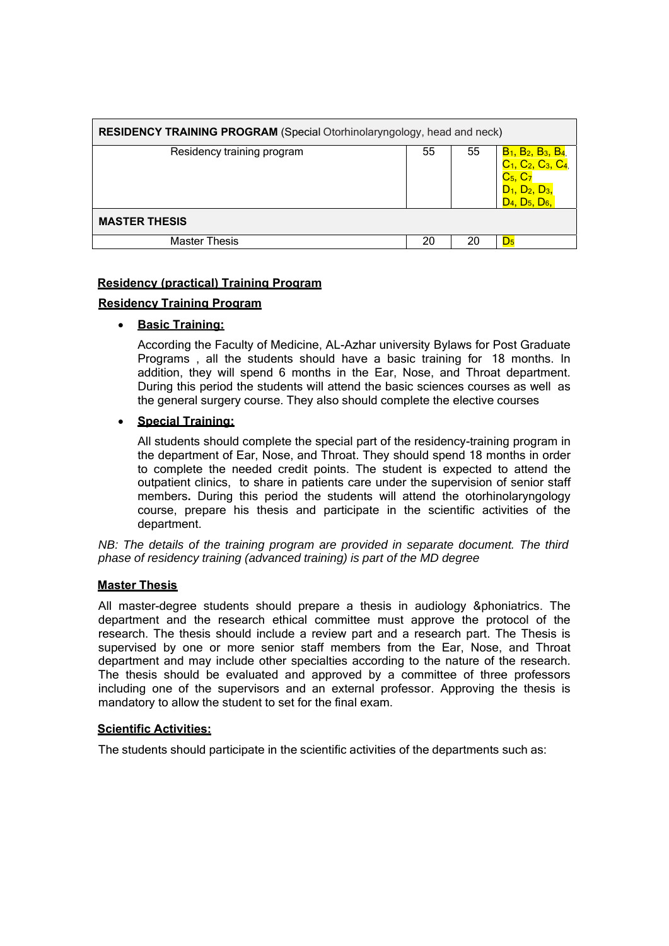| <b>RESIDENCY TRAINING PROGRAM</b> (Special Otorhinolaryngology, head and neck) |    |    |                                                                                                                                                                                      |
|--------------------------------------------------------------------------------|----|----|--------------------------------------------------------------------------------------------------------------------------------------------------------------------------------------|
| Residency training program                                                     | 55 | 55 | B <sub>1</sub> , B <sub>2</sub> , B <sub>3</sub> , B <sub>4,</sub><br>C <sub>1</sub> , C <sub>2</sub> , C <sub>3</sub> , C <sub>4</sub> ,<br>$C_5, C_7$<br>$D_3$<br>$D_4, D_5, D_6,$ |
| <b>MASTER THESIS</b>                                                           |    |    |                                                                                                                                                                                      |
| <b>Master Thesis</b>                                                           | 20 | 20 | $D_5$                                                                                                                                                                                |

#### **Residency (practical) Training Program**

#### **Residency Training Program**

#### **Basic Training:**

According the Faculty of Medicine, AL-Azhar university Bylaws for Post Graduate Programs , all the students should have a basic training for 18 months. In addition, they will spend 6 months in the Ear, Nose, and Throat department. During this period the students will attend the basic sciences courses as well as the general surgery course. They also should complete the elective courses

#### **Special Training:**

All students should complete the special part of the residency-training program in the department of Ear, Nose, and Throat. They should spend 18 months in order to complete the needed credit points. The student is expected to attend the outpatient clinics, to share in patients care under the supervision of senior staff members**.** During this period the students will attend the otorhinolaryngology course, prepare his thesis and participate in the scientific activities of the department.

*NB: The details of the training program are provided in separate document. The third phase of residency training (advanced training) is part of the MD degree* 

#### **Master Thesis**

All master-degree students should prepare a thesis in audiology &phoniatrics. The department and the research ethical committee must approve the protocol of the research. The thesis should include a review part and a research part. The Thesis is supervised by one or more senior staff members from the Ear, Nose, and Throat department and may include other specialties according to the nature of the research. The thesis should be evaluated and approved by a committee of three professors including one of the supervisors and an external professor. Approving the thesis is mandatory to allow the student to set for the final exam.

#### **Scientific Activities:**

The students should participate in the scientific activities of the departments such as: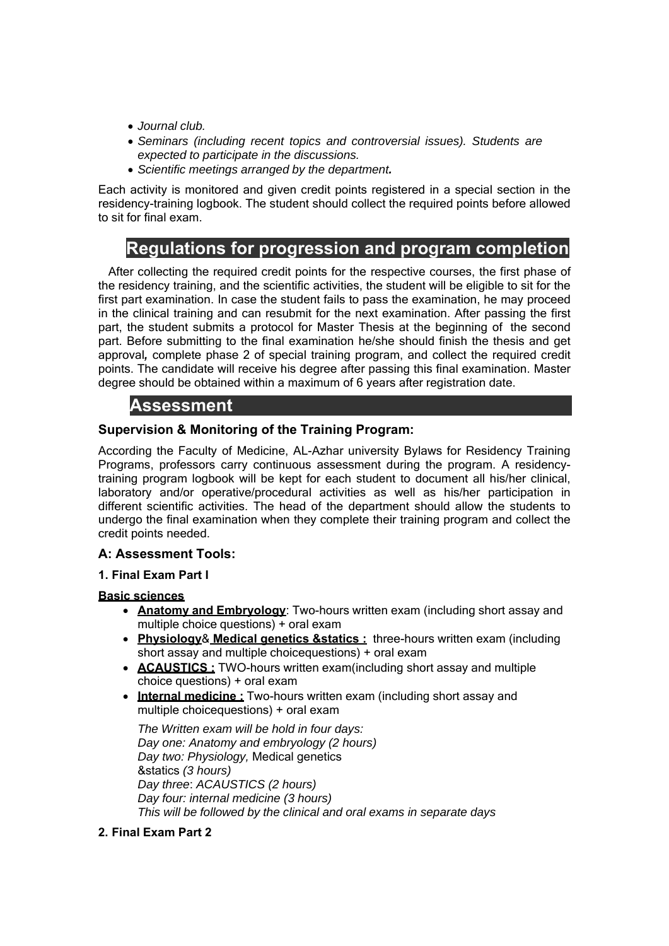- *Journal club.*
- *Seminars (including recent topics and controversial issues). Students are expected to participate in the discussions.*
- *Scientific meetings arranged by the department.*

Each activity is monitored and given credit points registered in a special section in the residency-training logbook. The student should collect the required points before allowed to sit for final exam.

# **V. Regulations for progression and program completion**

After collecting the required credit points for the respective courses, the first phase of the residency training, and the scientific activities, the student will be eligible to sit for the first part examination. In case the student fails to pass the examination, he may proceed in the clinical training and can resubmit for the next examination. After passing the first part, the student submits a protocol for Master Thesis at the beginning of the second part. Before submitting to the final examination he/she should finish the thesis and get approval*,* complete phase 2 of special training program, and collect the required credit points. The candidate will receive his degree after passing this final examination. Master degree should be obtained within a maximum of 6 years after registration date.

# **VI. Assessment**

## **Supervision & Monitoring of the Training Program:**

According the Faculty of Medicine, AL-Azhar university Bylaws for Residency Training Programs, professors carry continuous assessment during the program. A residencytraining program logbook will be kept for each student to document all his/her clinical, laboratory and/or operative/procedural activities as well as his/her participation in different scientific activities. The head of the department should allow the students to undergo the final examination when they complete their training program and collect the credit points needed.

#### **A: Assessment Tools:**

#### **1. Final Exam Part I**

#### **Basic sciences**

- **Anatomy and Embryology**: Two-hours written exam (including short assay and multiple choice questions) + oral exam
- **Physiology**& **Medical genetics &statics :** three-hours written exam (including short assay and multiple choice questions) + oral exam
- **ACAUSTICS**: TWO-hours written exam (including short assay and multiple choice questions) + oral exam
- **Internal medicine :** Two-hours written exam (including short assay and multiple choice questions) + oral exam

*The Written exam will be hold in four days: Day one: Anatomy and embryology (2 hours) Day two: Physiology,* Medical genetics &statics *(3 hours) Day three*: *ACAUSTICS (2 hours) Day four: internal medicine (3 hours) This will be followed by the clinical and oral exams in separate days* 

## **2. Final Exam Part 2**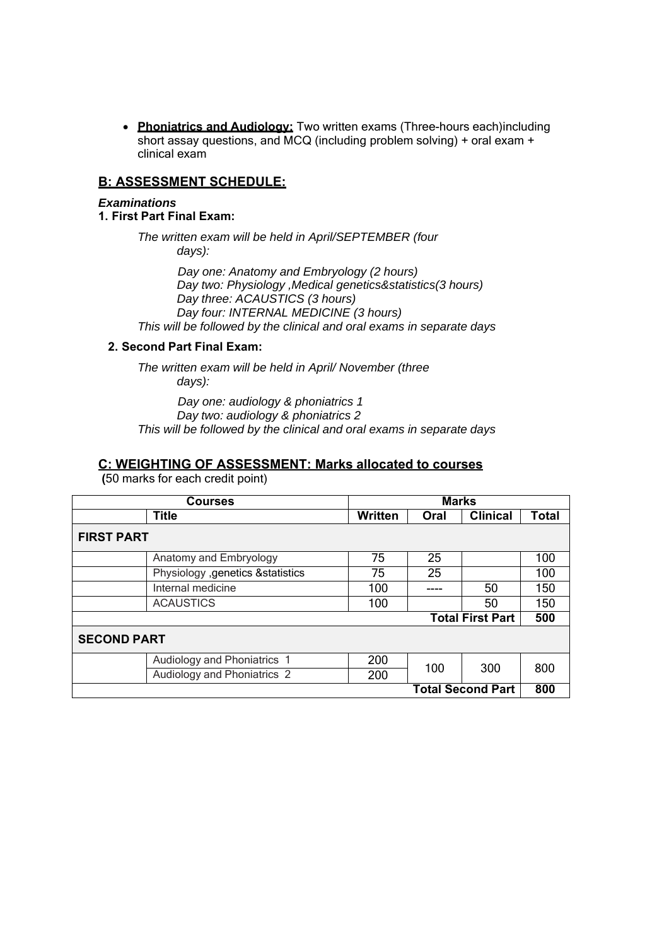**• Phoniatrics and Audiology:** Two written exams (Three-hours each) including short assay questions, and MCQ (including problem solving) + oral exam + clinical exam

### **B: ASSESSMENT SCHEDULE:**

#### *Examinations*

**1. First Part Final Exam:** 

*The written exam will be held in April/SEPTEMBER (four days):* 

 *Day one: Anatomy and Embryology (2 hours) Day two: Physiology ,Medical genetics&statistics(3 hours) Day three: ACAUSTICS (3 hours) Day four: INTERNAL MEDICINE (3 hours) This will be followed by the clinical and oral exams in separate days* 

#### **2. Second Part Final Exam:**

*The written exam will be held in April/ November (three days):* 

 *Day one: audiology & phoniatrics 1 Day two: audiology & phoniatrics 2 This will be followed by the clinical and oral exams in separate days* 

#### **C: WEIGHTING OF ASSESSMENT: Marks allocated to courses**

**(**50 marks for each credit point)

| <b>Courses</b>                     | <b>Marks</b>   |      |                          |              |
|------------------------------------|----------------|------|--------------------------|--------------|
| <b>Title</b>                       | <b>Written</b> | Oral | <b>Clinical</b>          | <b>Total</b> |
| <b>FIRST PART</b>                  |                |      |                          |              |
| Anatomy and Embryology             | 75             | 25   |                          | 100          |
| Physiology , genetics & statistics | 75             | 25   |                          | 100          |
| Internal medicine                  | 100            |      | 50                       | 150          |
| <b>ACAUSTICS</b>                   | 100            |      | 50                       | 150          |
|                                    |                |      | <b>Total First Part</b>  | 500          |
| <b>SECOND PART</b>                 |                |      |                          |              |
| Audiology and Phoniatrics 1        | 200            | 100  | 300                      | 800          |
| Audiology and Phoniatrics 2        | 200            |      |                          |              |
|                                    |                |      | <b>Total Second Part</b> | 800          |